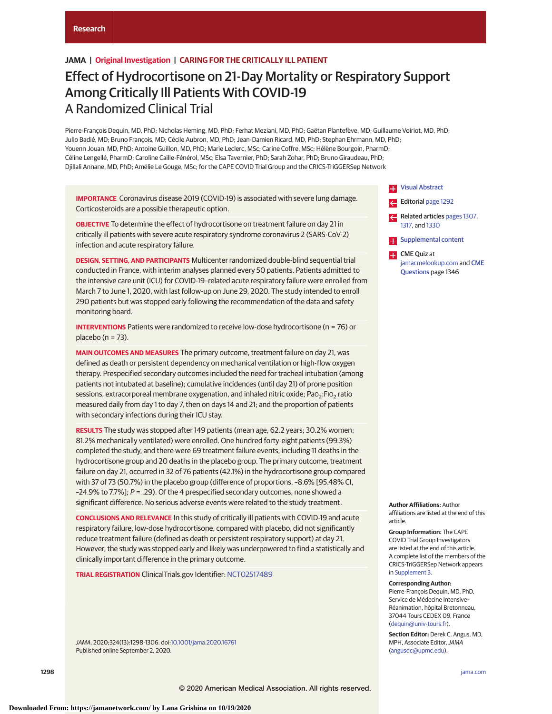# **JAMA | Original Investigation | CARING FOR THE CRITICALLY ILL PATIENT**

# Effect of Hydrocortisone on 21-Day Mortality or Respiratory Support Among Critically Ill Patients With COVID-19 A Randomized Clinical Trial

Pierre-François Dequin, MD, PhD; Nicholas Heming, MD, PhD; Ferhat Meziani, MD, PhD; Gaëtan Plantefève, MD; Guillaume Voiriot, MD, PhD; Julio Badié, MD; Bruno François, MD; Cécile Aubron, MD, PhD; Jean-Damien Ricard, MD, PhD; Stephan Ehrmann, MD, PhD; Youenn Jouan, MD, PhD; Antoine Guillon, MD, PhD; Marie Leclerc, MSc; Carine Coffre, MSc; Hélène Bourgoin, PharmD; Céline Lengellé, PharmD; Caroline Caille-Fénérol, MSc; Elsa Tavernier, PhD; Sarah Zohar, PhD; Bruno Giraudeau, PhD; Djillali Annane, MD, PhD; Amélie Le Gouge, MSc; for the CAPE COVID Trial Group and the CRICS-TriGGERSep Network

**IMPORTANCE** Coronavirus disease 2019 (COVID-19) is associated with severe lung damage. Corticosteroids are a possible therapeutic option.

**OBJECTIVE** To determine the effect of hydrocortisone on treatment failure on day 21 in critically ill patients with severe acute respiratory syndrome coronavirus 2 (SARS-CoV-2) infection and acute respiratory failure.

**DESIGN, SETTING, AND PARTICIPANTS** Multicenter randomized double-blind sequential trial conducted in France, with interim analyses planned every 50 patients. Patients admitted to the intensive care unit (ICU) for COVID-19–related acute respiratory failure were enrolled from March 7 to June 1, 2020, with last follow-up on June 29, 2020. The study intended to enroll 290 patients but was stopped early following the recommendation of the data and safety monitoring board.

**INTERVENTIONS** Patients were randomized to receive low-dose hydrocortisone (n = 76) or placebo ( $n = 73$ ).

**MAIN OUTCOMES AND MEASURES** The primary outcome, treatment failure on day 21, was defined as death or persistent dependency on mechanical ventilation or high-flow oxygen therapy. Prespecified secondary outcomes included the need for tracheal intubation (among patients not intubated at baseline); cumulative incidences (until day 21) of prone position sessions, extracorporeal membrane oxygenation, and inhaled nitric oxide; PaO<sub>2</sub>:FIO<sub>2</sub> ratio measured daily from day 1 to day 7, then on days 14 and 21; and the proportion of patients with secondary infections during their ICU stay.

**RESULTS** The study was stopped after 149 patients (mean age, 62.2 years; 30.2% women; 81.2% mechanically ventilated) were enrolled. One hundred forty-eight patients (99.3%) completed the study, and there were 69 treatment failure events, including 11 deaths in the hydrocortisone group and 20 deaths in the placebo group. The primary outcome, treatment failure on day 21, occurred in 32 of 76 patients (42.1%) in the hydrocortisone group compared with 37 of 73 (50.7%) in the placebo group (difference of proportions, –8.6% [95.48% CI,  $-24.9\%$  to 7.7%]; P = .29). Of the 4 prespecified secondary outcomes, none showed a significant difference. No serious adverse events were related to the study treatment.

**CONCLUSIONS AND RELEVANCE** In this study of critically ill patients with COVID-19 and acute respiratory failure, low-dose hydrocortisone, compared with placebo, did not significantly reduce treatment failure (defined as death or persistent respiratory support) at day 21. However, the study was stopped early and likely was underpowered to find a statistically and clinically important difference in the primary outcome.

**TRIAL REGISTRATION** ClinicalTrials.gov Identifier: [NCT02517489](https://clinicaltrials.gov/ct2/show/NCT02517489)

JAMA. 2020;324(13):1298-1306. doi[:10.1001/jama.2020.16761](https://jamanetwork.com/journals/jama/fullarticle/10.1001/jama.2020.16761?utm_campaign=articlePDF%26utm_medium=articlePDFlink%26utm_source=articlePDF%26utm_content=jama.2020.16761) Published online September 2, 2020.



- Editorial [page 1292](https://jamanetwork.com/journals/jama/fullarticle/10.1001/jama.2020.16747?utm_campaign=articlePDF%26utm_medium=articlePDFlink%26utm_source=articlePDF%26utm_content=jama.2020.16761)  $\leftarrow$ Related articles [pages 1307,](https://jamanetwork.com/journals/jama/fullarticle/10.1001/jama.2020.17021?utm_campaign=articlePDF%26utm_medium=articlePDFlink%26utm_source=articlePDF%26utm_content=jama.2020.16761)
- [1317,](https://jamanetwork.com/journals/jama/fullarticle/10.1001/jama.2020.17022?utm_campaign=articlePDF%26utm_medium=articlePDFlink%26utm_source=articlePDF%26utm_content=jama.2020.16761) and [1330](https://jamanetwork.com/journals/jama/fullarticle/10.1001/jama.2020.17023?utm_campaign=articlePDF%26utm_medium=articlePDFlink%26utm_source=articlePDF%26utm_content=jama.2020.16761)
- [Supplemental content](https://jamanetwork.com/journals/jama/fullarticle/10.1001/jama.2020.16761?utm_campaign=articlePDF%26utm_medium=articlePDFlink%26utm_source=articlePDF%26utm_content=jama.2020.16761)
- **CME** Quiz at [jamacmelookup.com](https://jama.jamanetwork.com/learning/article-quiz/10.1001/jama.2020.16761?utm_campaign=articlePDF%26utm_medium=articlePDFlink%26utm_source=articlePDF%26utm_content=jama.2020.16761) and [CME](https://jama.jamanetwork.com/learning/article-quiz/10.1001/jama.2020.16761?utm_campaign=articlePDF%26utm_medium=articlePDFlink%26utm_source=articlePDF%26utm_content=jama.2020.16761) [Questions](https://jama.jamanetwork.com/learning/article-quiz/10.1001/jama.2020.16761?utm_campaign=articlePDF%26utm_medium=articlePDFlink%26utm_source=articlePDF%26utm_content=jama.2020.16761) page 1346

**Author Affiliations:** Author affiliations are listed at the end of this article.

**Group Information:** The CAPE COVID Trial Group Investigators are listed at the end of this article. A complete list of the members of the CRICS-TriGGERSep Network appears in [Supplement 3.](https://jamanetwork.com/journals/jama/fullarticle/10.1001/jama.2020.16761?utm_campaign=articlePDF%26utm_medium=articlePDFlink%26utm_source=articlePDF%26utm_content=jama.2020.16761)

### **Corresponding Author:**

Pierre-François Dequin, MD, PhD, Service de Médecine Intensive– Réanimation, hôpital Bretonneau, 37044 Tours CEDEX 09, France [\(dequin@univ-tours.fr\)](mailto:dequin@univ-tours.fr).

**Section Editor:** Derek C. Angus, MD, MPH, Associate Editor, JAMA [\(angusdc@upmc.edu\)](mailto:angusdc@upmc.edu).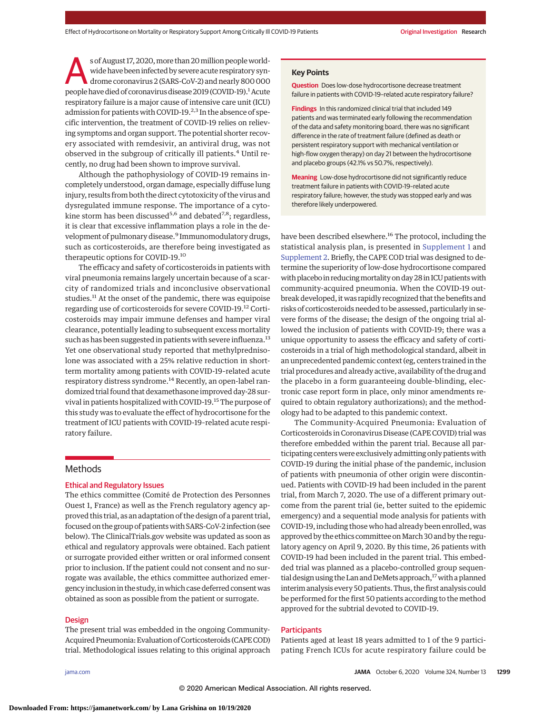s of August 17, 2020, more than 20 million people worldwide have been infected by severe acute respiratory syndrome coronavirus 2 (SARS-CoV-2) and nearly 800 000 people have died of coronavirus disease 2019 (COVID-19).<sup>1</sup> Acute respiratory failure is a major cause of intensive care unit (ICU) admission for patients with COVID-19.<sup>2,3</sup> In the absence of specific intervention, the treatment of COVID-19 relies on relieving symptoms and organ support. The potential shorter recovery associated with remdesivir, an antiviral drug, was not observed in the subgroup of critically ill patients.<sup>4</sup> Until recently, no drug had been shown to improve survival.

Although the pathophysiology of COVID-19 remains incompletely understood, organ damage, especially diffuse lung injury, results from both the direct cytotoxicity of the virus and dysregulated immune response. The importance of a cytokine storm has been discussed<sup>5,6</sup> and debated<sup>7,8</sup>; regardless, it is clear that excessive inflammation plays a role in the development of pulmonary disease.<sup>9</sup> Immunomodulatory drugs, such as corticosteroids, are therefore being investigated as therapeutic options for COVID-19.<sup>10</sup>

The efficacy and safety of corticosteroids in patients with viral pneumonia remains largely uncertain because of a scarcity of randomized trials and inconclusive observational studies.<sup>11</sup> At the onset of the pandemic, there was equipoise regarding use of corticosteroids for severe COVID-19.12 Corticosteroids may impair immune defenses and hamper viral clearance, potentially leading to subsequent excess mortality such as has been suggested in patients with severe influenza.<sup>13</sup> Yet one observational study reported that methylprednisolone was associated with a 25% relative reduction in shortterm mortality among patients with COVID-19–related acute respiratory distress syndrome.<sup>14</sup> Recently, an open-label randomized trial found that dexamethasone improved day-28 survival in patients hospitalized with COVID-19.<sup>15</sup> The purpose of this study was to evaluate the effect of hydrocortisone for the treatment of ICU patients with COVID-19–related acute respiratory failure.

## Methods

# Ethical and Regulatory Issues

The ethics committee (Comité de Protection des Personnes Ouest 1, France) as well as the French regulatory agency approved this trial, as an adaptation of the design of a parent trial, focused on the group of patientswith SARS-CoV-2 infection (see below). The ClinicalTrials.gov website was updated as soon as ethical and regulatory approvals were obtained. Each patient or surrogate provided either written or oral informed consent prior to inclusion. If the patient could not consent and no surrogate was available, the ethics committee authorized emergency inclusion in the study, inwhich case deferred consentwas obtained as soon as possible from the patient or surrogate.

## **Design**

The present trial was embedded in the ongoing Community-Acquired Pneumonia: Evaluation of Corticosteroids (CAPE COD) trial. Methodological issues relating to this original approach

## **Key Points**

**Question** Does low-dose hydrocortisone decrease treatment failure in patients with COVID-19–related acute respiratory failure?

**Findings** In this randomized clinical trial that included 149 patients and was terminated early following the recommendation of the data and safety monitoring board, there was no significant difference in the rate of treatment failure (defined as death or persistent respiratory support with mechanical ventilation or high-flow oxygen therapy) on day 21 between the hydrocortisone and placebo groups (42.1% vs 50.7%, respectively).

**Meaning** Low-dose hydrocortisone did not significantly reduce treatment failure in patients with COVID-19–related acute respiratory failure; however, the study was stopped early and was therefore likely underpowered.

have been described elsewhere.<sup>16</sup> The protocol, including the statistical analysis plan, is presented in [Supplement 1](https://jamanetwork.com/journals/jama/fullarticle/10.1001/jama.2020.16761?utm_campaign=articlePDF%26utm_medium=articlePDFlink%26utm_source=articlePDF%26utm_content=jama.2020.16761) and [Supplement 2.](https://jamanetwork.com/journals/jama/fullarticle/10.1001/jama.2020.16761?utm_campaign=articlePDF%26utm_medium=articlePDFlink%26utm_source=articlePDF%26utm_content=jama.2020.16761) Briefly, the CAPE COD trial was designed to determine the superiority of low-dose hydrocortisone compared with placebo in reducing mortality on day 28 in ICU patients with community-acquired pneumonia. When the COVID-19 outbreak developed, itwas rapidly recognized that the benefits and risks of corticosteroids needed to be assessed, particularly in severe forms of the disease; the design of the ongoing trial allowed the inclusion of patients with COVID-19; there was a unique opportunity to assess the efficacy and safety of corticosteroids in a trial of high methodological standard, albeit in an unprecedented pandemic context (eg, centers trained in the trial procedures and already active, availability of the drug and the placebo in a form guaranteeing double-blinding, electronic case report form in place, only minor amendments required to obtain regulatory authorizations); and the methodology had to be adapted to this pandemic context.

The Community-Acquired Pneumonia: Evaluation of Corticosteroids in Coronavirus Disease (CAPE COVID) trial was therefore embedded within the parent trial. Because all participating centers were exclusively admitting only patients with COVID-19 during the initial phase of the pandemic, inclusion of patients with pneumonia of other origin were discontinued. Patients with COVID-19 had been included in the parent trial, from March 7, 2020. The use of a different primary outcome from the parent trial (ie, better suited to the epidemic emergency) and a sequential mode analysis for patients with COVID-19, including those who had already been enrolled, was approved by the ethics committee on March 30 and by the regulatory agency on April 9, 2020. By this time, 26 patients with COVID-19 had been included in the parent trial. This embedded trial was planned as a placebo-controlled group sequential design using the Lan and DeMets approach,<sup>17</sup> with a planned interim analysis every 50 patients. Thus, the first analysis could be performed for the first 50 patients according to the method approved for the subtrial devoted to COVID-19.

## **Participants**

Patients aged at least 18 years admitted to 1 of the 9 participating French ICUs for acute respiratory failure could be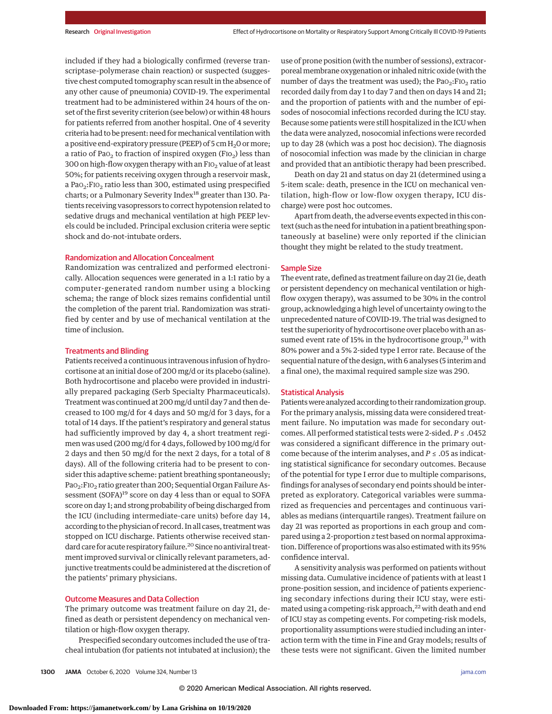included if they had a biologically confirmed (reverse transcriptase–polymerase chain reaction) or suspected (suggestive chest computed tomography scan result in the absence of any other cause of pneumonia) COVID-19. The experimental treatment had to be administered within 24 hours of the onset of the first severity criterion (see below) or within 48 hours for patients referred from another hospital. One of 4 severity criteria had to be present: need for mechanical ventilation with a positive end-expiratory pressure (PEEP) of 5 cm  $\rm H_2O$  or more; a ratio of Pa $o_2$  to fraction of inspired oxygen (FI $o_2$ ) less than 300 on high-flow oxygen therapy with an  $F1O<sub>2</sub>$  value of at least 50%; for patients receiving oxygen through a reservoir mask, a PaO<sub>2</sub>:F<sub>IO<sub>2</sub> ratio less than 300, estimated using prespecified</sub> charts; or a Pulmonary Severity Index<sup>18</sup> greater than 130. Patients receiving vasopressors to correct hypotension related to sedative drugs and mechanical ventilation at high PEEP levels could be included. Principal exclusion criteria were septic shock and do-not-intubate orders.

## Randomization and Allocation Concealment

Randomization was centralized and performed electronically. Allocation sequences were generated in a 1:1 ratio by a computer-generated random number using a blocking schema; the range of block sizes remains confidential until the completion of the parent trial. Randomization was stratified by center and by use of mechanical ventilation at the time of inclusion.

## Treatments and Blinding

Patients received a continuous intravenous infusion of hydrocortisone at an initial dose of 200 mg/d or its placebo (saline). Both hydrocortisone and placebo were provided in industrially prepared packaging (Serb Specialty Pharmaceuticals). Treatment was continued at 200 mg/d until day 7 and then decreased to 100 mg/d for 4 days and 50 mg/d for 3 days, for a total of 14 days. If the patient's respiratory and general status had sufficiently improved by day 4, a short treatment regimen was used (200 mg/d for 4 days, followed by 100 mg/d for 2 days and then 50 mg/d for the next 2 days, for a total of 8 days). All of the following criteria had to be present to consider this adaptive scheme: patient breathing spontaneously; PaO<sub>2</sub>:FIO<sub>2</sub> ratio greater than 200; Sequential Organ Failure Assessment (SOFA)<sup>19</sup> score on day 4 less than or equal to SOFA score on day 1; and strong probability of being discharged from the ICU (including intermediate-care units) before day 14, according to the physician of record. In all cases, treatment was stopped on ICU discharge. Patients otherwise received standard care for acute respiratory failure.<sup>20</sup> Since no antiviral treatment improved survival or clinically relevant parameters, adjunctive treatments could be administered at the discretion of the patients' primary physicians.

## Outcome Measures and Data Collection

The primary outcome was treatment failure on day 21, defined as death or persistent dependency on mechanical ventilation or high-flow oxygen therapy.

Prespecified secondary outcomes included the use of tracheal intubation (for patients not intubated at inclusion); the use of prone position (with the number of sessions), extracorporealmembrane oxygenation or inhaled nitric oxide (with the number of days the treatment was used); the  $PaO<sub>2</sub>:FiO<sub>2</sub>$  ratio recorded daily from day 1 to day 7 and then on days 14 and 21; and the proportion of patients with and the number of episodes of nosocomial infections recorded during the ICU stay. Because some patients were still hospitalized in the ICU when the data were analyzed, nosocomial infections were recorded up to day 28 (which was a post hoc decision). The diagnosis of nosocomial infection was made by the clinician in charge and provided that an antibiotic therapy had been prescribed.

Death on day 21 and status on day 21 (determined using a 5-item scale: death, presence in the ICU on mechanical ventilation, high-flow or low-flow oxygen therapy, ICU discharge) were post hoc outcomes.

Apart from death, the adverse events expected in this context (such as the need for intubation in a patient breathing spontaneously at baseline) were only reported if the clinician thought they might be related to the study treatment.

## Sample Size

The event rate, defined as treatment failure on day 21 (ie, death or persistent dependency on mechanical ventilation or highflow oxygen therapy), was assumed to be 30% in the control group, acknowledging a high level of uncertainty owing to the unprecedented nature of COVID-19. The trial was designed to test the superiority of hydrocortisone over placebo with an assumed event rate of 15% in the hydrocortisone group, $^{21}$  with 80% power and a 5% 2-sided type I error rate. Because of the sequential nature of the design, with 6 analyses (5 interim and a final one), the maximal required sample size was 290.

## Statistical Analysis

Patients were analyzed according to their randomization group. For the primary analysis, missing data were considered treatment failure. No imputation was made for secondary outcomes. All performed statistical tests were 2-sided. *P* ≤ .0452 was considered a significant difference in the primary outcome because of the interim analyses, and  $P \le 0.05$  as indicating statistical significance for secondary outcomes. Because of the potential for type I error due to multiple comparisons, findings for analyses of secondary end points should be interpreted as exploratory. Categorical variables were summarized as frequencies and percentages and continuous variables as medians (interquartile ranges). Treatment failure on day 21 was reported as proportions in each group and compared using a 2-proportion *z* test based on normal approximation. Difference of proportions was also estimated with its 95% confidence interval.

A sensitivity analysis was performed on patients without missing data. Cumulative incidence of patients with at least 1 prone-position session, and incidence of patients experiencing secondary infections during their ICU stay, were estimated using a competing-risk approach,<sup>22</sup> with death and end of ICU stay as competing events. For competing-risk models, proportionality assumptions were studied including an interaction term with the time in Fine and Gray models; results of these tests were not significant. Given the limited number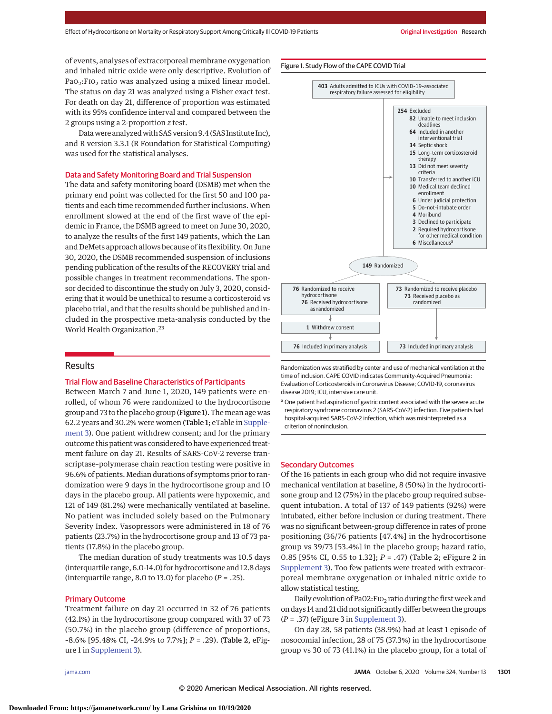of events, analyses of extracorporeal membrane oxygenation and inhaled nitric oxide were only descriptive. Evolution of PaO<sub>2</sub>:FIO<sub>2</sub> ratio was analyzed using a mixed linear model. The status on day 21 was analyzed using a Fisher exact test. For death on day 21, difference of proportion was estimated with its 95% confidence interval and compared between the 2 groups using a 2-proportion *z* test.

Datawere analyzedwith SAS version 9.4 (SAS Institute Inc), and R version 3.3.1 (R Foundation for Statistical Computing) was used for the statistical analyses.

## Data and Safety Monitoring Board and Trial Suspension

The data and safety monitoring board (DSMB) met when the primary end point was collected for the first 50 and 100 patients and each time recommended further inclusions. When enrollment slowed at the end of the first wave of the epidemic in France, the DSMB agreed to meet on June 30, 2020, to analyze the results of the first 149 patients, which the Lan and DeMets approach allows because of its flexibility. On June 30, 2020, the DSMB recommended suspension of inclusions pending publication of the results of the RECOVERY trial and possible changes in treatment recommendations. The sponsor decided to discontinue the study on July 3, 2020, considering that it would be unethical to resume a corticosteroid vs placebo trial, and that the results should be published and included in the prospective meta-analysis conducted by the World Health Organization.<sup>23</sup>

## Results

## Trial Flow and Baseline Characteristics of Participants

Between March 7 and June 1, 2020, 149 patients were enrolled, of whom 76 were randomized to the hydrocortisone group and 73 to the placebo group (Figure 1). Themean age was 62.2 years and 30.2% were women (Table 1; eTable in [Supple](https://jamanetwork.com/journals/jama/fullarticle/10.1001/jama.2020.16761?utm_campaign=articlePDF%26utm_medium=articlePDFlink%26utm_source=articlePDF%26utm_content=jama.2020.16761)[ment 3\)](https://jamanetwork.com/journals/jama/fullarticle/10.1001/jama.2020.16761?utm_campaign=articlePDF%26utm_medium=articlePDFlink%26utm_source=articlePDF%26utm_content=jama.2020.16761). One patient withdrew consent; and for the primary outcome this patient was considered to have experienced treatment failure on day 21. Results of SARS-CoV-2 reverse transcriptase–polymerase chain reaction testing were positive in 96.6% of patients. Median durations of symptoms prior to randomization were 9 days in the hydrocortisone group and 10 days in the placebo group. All patients were hypoxemic, and 121 of 149 (81.2%) were mechanically ventilated at baseline. No patient was included solely based on the Pulmonary Severity Index. Vasopressors were administered in 18 of 76 patients (23.7%) in the hydrocortisone group and 13 of 73 patients (17.8%) in the placebo group.

The median duration of study treatments was 10.5 days (interquartile range, 6.0-14.0) for hydrocortisone and 12.8 days (interquartile range, 8.0 to 13.0) for placebo (*P* = .25).

## Primary Outcome

Treatment failure on day 21 occurred in 32 of 76 patients (42.1%) in the hydrocortisone group compared with 37 of 73 (50.7%) in the placebo group (difference of proportions, –8.6% [95.48% CI, –24.9% to 7.7%]; *P* = .29). (Table 2, eFigure 1 in [Supplement 3\)](https://jamanetwork.com/journals/jama/fullarticle/10.1001/jama.2020.16761?utm_campaign=articlePDF%26utm_medium=articlePDFlink%26utm_source=articlePDF%26utm_content=jama.2020.16761).

Figure 1. Study Flow of the CAPE COVID Trial



Randomization was stratified by center and use of mechanical ventilation at the time of inclusion. CAPE COVID indicates Community-Acquired Pneumonia: Evaluation of Corticosteroids in Coronavirus Disease; COVID-19, coronavirus disease 2019; ICU, intensive care unit.

<sup>a</sup> One patient had aspiration of gastric content associated with the severe acute respiratory syndrome coronavirus 2 (SARS-CoV-2) infection. Five patients had hospital-acquired SARS-CoV-2 infection, which was misinterpreted as a criterion of noninclusion.

## Secondary Outcomes

Of the 16 patients in each group who did not require invasive mechanical ventilation at baseline, 8 (50%) in the hydrocortisone group and 12 (75%) in the placebo group required subsequent intubation. A total of 137 of 149 patients (92%) were intubated, either before inclusion or during treatment. There was no significant between-group difference in rates of prone positioning (36/76 patients [47.4%] in the hydrocortisone group vs 39/73 [53.4%] in the placebo group; hazard ratio, 0.85 [95% CI, 0.55 to 1.32]; *P* = .47) (Table 2; eFigure 2 in [Supplement 3\)](https://jamanetwork.com/journals/jama/fullarticle/10.1001/jama.2020.16761?utm_campaign=articlePDF%26utm_medium=articlePDFlink%26utm_source=articlePDF%26utm_content=jama.2020.16761). Too few patients were treated with extracorporeal membrane oxygenation or inhaled nitric oxide to allow statistical testing.

Daily evolution of Pa02:  $F$ IO<sub>2</sub> ratio during the first week and on days 14 and 21 did not significantly differ between the groups (*P* = .37) (eFigure 3 in [Supplement 3\)](https://jamanetwork.com/journals/jama/fullarticle/10.1001/jama.2020.16761?utm_campaign=articlePDF%26utm_medium=articlePDFlink%26utm_source=articlePDF%26utm_content=jama.2020.16761).

On day 28, 58 patients (38.9%) had at least 1 episode of nosocomial infection, 28 of 75 (37.3%) in the hydrocortisone group vs 30 of 73 (41.1%) in the placebo group, for a total of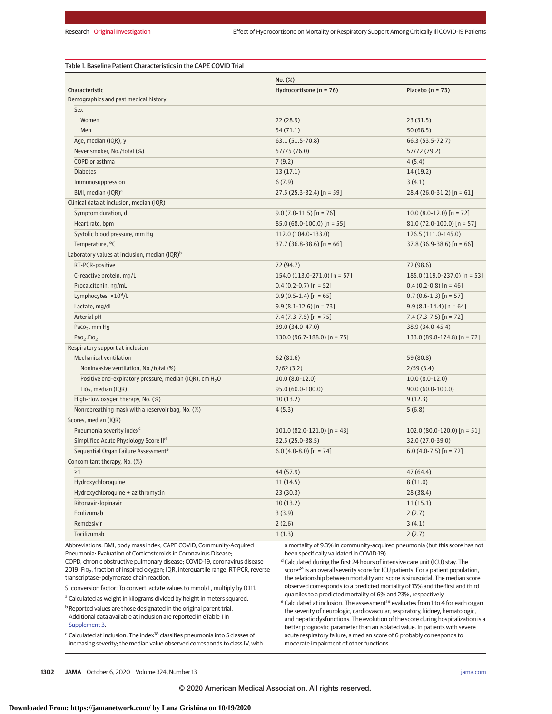|                                                                     | No. (%)                          |                               |  |
|---------------------------------------------------------------------|----------------------------------|-------------------------------|--|
| Characteristic                                                      | Hydrocortisone ( $n = 76$ )      | Placebo ( $n = 73$ )          |  |
| Demographics and past medical history                               |                                  |                               |  |
| Sex                                                                 |                                  |                               |  |
| Women                                                               | 22(28.9)                         | 23(31.5)                      |  |
| Men                                                                 | 54(71.1)                         | 50(68.5)                      |  |
| Age, median (IQR), y                                                | 63.1 (51.5-70.8)                 | 66.3 (53.5-72.7)              |  |
| Never smoker, No./total (%)                                         | 57/75 (76.0)                     | 57/72 (79.2)                  |  |
| COPD or asthma                                                      | 7(9.2)                           | 4(5.4)                        |  |
| <b>Diabetes</b>                                                     | 13(17.1)                         | 14(19.2)                      |  |
| Immunosuppression                                                   | 6(7.9)                           | 3(4.1)                        |  |
| BMI, median (IQR) <sup>a</sup>                                      | $27.5(25.3-32.4)$ [n = 59]       | 28.4 (26.0-31.2) [n = 61]     |  |
| Clinical data at inclusion, median (IQR)                            |                                  |                               |  |
| Symptom duration, d                                                 | $9.0(7.0-11.5)$ [n = 76]         | $10.0 (8.0 - 12.0)$ [n = 72]  |  |
| Heart rate, bpm                                                     | $85.0$ (68.0-100.0) [n = 55]     | $81.0(72.0-100.0)$ [n = 57]   |  |
| Systolic blood pressure, mm Hg                                      | 112.0 (104.0-133.0)              | 126.5 (111.0-145.0)           |  |
| Temperature, °C                                                     | $37.7$ (36.8-38.6) [n = 66]      | $37.8$ (36.9-38.6) [n = 66]   |  |
| Laboratory values at inclusion, median (IQR) <sup>b</sup>           |                                  |                               |  |
| RT-PCR-positive                                                     | 72 (94.7)                        | 72 (98.6)                     |  |
| C-reactive protein, mg/L                                            | 154.0 $(113.0 - 271.0)$ [n = 57] | 185.0 (119.0-237.0) [n = 53]  |  |
| Procalcitonin, ng/mL                                                | $0.4(0.2-0.7)$ [n = 52]          | $0.4$ (0.2-0.8) [n = 46]      |  |
| Lymphocytes, $\times 10^9$ /L                                       | $0.9(0.5-1.4)$ [n = 65]          | $0.7(0.6-1.3)$ [n = 57]       |  |
| Lactate, mg/dL                                                      | $9.9 (8.1 - 12.6)$ [n = 73]      | $9.9(8.1-14.4)$ [n = 64]      |  |
| Arterial pH                                                         | $7.4(7.3-7.5)$ [n = 75]          | $7.4(7.3-7.5)$ [n = 72]       |  |
| Paco <sub>2</sub> , mm Hg                                           | 39.0 (34.0-47.0)                 | 38.9 (34.0-45.4)              |  |
| Pao <sub>2</sub> :FIO <sub>2</sub>                                  | 130.0 (96.7-188.0) [n = 75]      | 133.0 (89.8-174.8) $[n = 72]$ |  |
| Respiratory support at inclusion                                    |                                  |                               |  |
| <b>Mechanical ventilation</b>                                       | 62 (81.6)                        | 59 (80.8)                     |  |
| Noninvasive ventilation, No./total (%)                              | 2/62(3.2)                        | 2/59(3.4)                     |  |
| Positive end-expiratory pressure, median (IQR), cm H <sub>2</sub> O | $10.0 (8.0 - 12.0)$              | $10.0 (8.0 - 12.0)$           |  |
| $FIO2$ , median (IQR)                                               | 95.0 (60.0-100.0)                | $90.0(60.0-100.0)$            |  |
| High-flow oxygen therapy, No. (%)                                   | 10(13.2)                         | 9(12.3)                       |  |
| Nonrebreathing mask with a reservoir bag, No. (%)                   | 4(5.3)                           | 5(6.8)                        |  |
| Scores, median (IQR)                                                |                                  |                               |  |
| Pneumonia severity index <sup>c</sup>                               | 101.0 $(82.0-121.0)$ [n = 43]    | 102.0 (80.0-120.0) [n = 51]   |  |
| Simplified Acute Physiology Score II <sup>d</sup>                   | 32.5 (25.0-38.5)                 | 32.0 (27.0-39.0)              |  |
| Sequential Organ Failure Assessment <sup>e</sup>                    | $6.0$ (4.0-8.0) [n = 74]         | $6.0(4.0-7.5)$ [n = 72]       |  |
| Concomitant therapy, No. (%)                                        |                                  |                               |  |
| $\geq$ 1                                                            | 44 (57.9)                        | 47(64.4)                      |  |
| Hydroxychloroquine                                                  | 11(14.5)                         | 8(11.0)                       |  |
| Hydroxychloroquine + azithromycin                                   | 23(30.3)                         | 28 (38.4)                     |  |
| Ritonavir-lopinavir                                                 | 10(13.2)                         | 11(15.1)                      |  |
| Eculizumab                                                          | 3(3.9)                           | 2(2.7)                        |  |
| Remdesivir                                                          |                                  |                               |  |
| Tocilizumab                                                         | 2(2.6)                           | 3(4.1)                        |  |
|                                                                     | 1(1.3)                           | 2(2.7)                        |  |

 $0_2$ , fraction of inspired oxygen; IQR, interquartile range; RT-PCR, reverse transcriptase–polymerase chain reaction.

SI conversion factor: To convert lactate values to mmol/L, multiply by 0.111.

<sup>a</sup> Calculated as weight in kilograms divided by height in meters squared.

 $b$  Reported values are those designated in the original parent trial. Additional data available at inclusion are reported in eTable 1 in [Supplement 3.](https://jamanetwork.com/journals/jama/fullarticle/10.1001/jama.2020.16761?utm_campaign=articlePDF%26utm_medium=articlePDFlink%26utm_source=articlePDF%26utm_content=jama.2020.16761)

<sup>c</sup> Calculated at inclusion. The index18 classifies pneumonia into 5 classes of increasing severity; the median value observed corresponds to class IV, with

tis an overall severity score for ICU patients. For a patient population, the relationship between mortality and score is sinusoidal. The median score observed corresponds to a predicted mortality of 13% and the first and third quartiles to a predicted mortality of 6% and 23%, respectively.

e Calculated at inclusion. The assessment<sup>19</sup> evaluates from 1 to 4 for each organ the severity of neurologic, cardiovascular, respiratory, kidney, hematologic, and hepatic dysfunctions. The evolution of the score during hospitalization is a better prognostic parameter than an isolated value. In patients with severe acute respiratory failure, a median score of 6 probably corresponds to moderate impairment of other functions.

**1302 JAMA** October 6, 2020 Volume 324, Number 13 **(Reprinted)** [jama.com](http://www.jama.com?utm_campaign=articlePDF%26utm_medium=articlePDFlink%26utm_source=articlePDF%26utm_content=jama.2020.16761)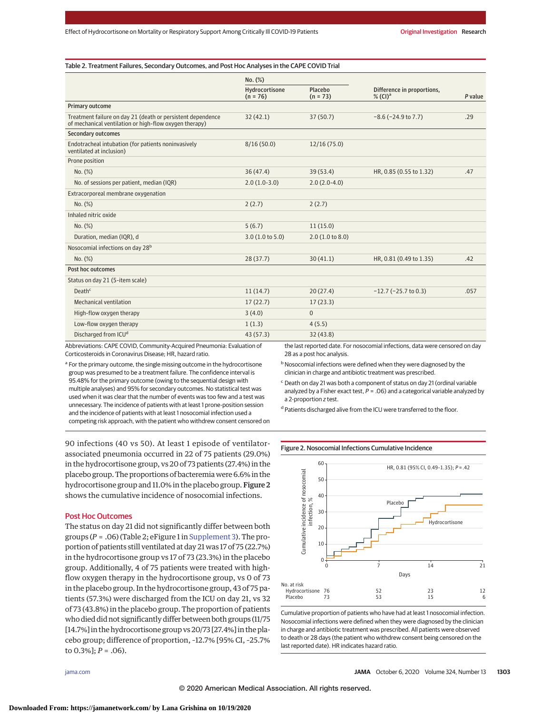### Table 2. Treatment Failures, Secondary Outcomes, and Post Hoc Analyses in the CAPE COVID Trial

|                                                                                                                       | No. (%)                      |                       | Difference in proportions,<br>$\%$ (CI) <sup>a</sup>    |                |
|-----------------------------------------------------------------------------------------------------------------------|------------------------------|-----------------------|---------------------------------------------------------|----------------|
|                                                                                                                       | Hydrocortisone<br>$(n = 76)$ | Placebo<br>$(n = 73)$ |                                                         | P value        |
| <b>Primary outcome</b>                                                                                                |                              |                       |                                                         |                |
| Treatment failure on day 21 (death or persistent dependence<br>of mechanical ventilation or high-flow oxygen therapy) | 32(42.1)                     | 37(50.7)              | $-8.6$ ( $-24.9$ to 7.7)                                | .29            |
| <b>Secondary outcomes</b>                                                                                             |                              |                       |                                                         |                |
| Endotracheal intubation (for patients noninvasively<br>ventilated at inclusion)                                       | 8/16(50.0)                   | 12/16(75.0)           |                                                         |                |
| Prone position                                                                                                        |                              |                       |                                                         |                |
| No. (%)                                                                                                               | 36(47.4)                     | 39(53.4)              | HR, 0.85 (0.55 to 1.32)                                 | .47            |
| No. of sessions per patient, median (IQR)                                                                             | $2.0(1.0-3.0)$               | $2.0(2.0-4.0)$        |                                                         |                |
| Extracorporeal membrane oxygenation                                                                                   |                              |                       |                                                         |                |
| No. (%)                                                                                                               | 2(2.7)                       | 2(2.7)                |                                                         |                |
| Inhaled nitric oxide                                                                                                  |                              |                       |                                                         |                |
| No. (%)                                                                                                               | 5(6.7)                       | 11(15.0)              |                                                         |                |
| Duration, median (IQR), d                                                                                             | 3.0(1.0 to 5.0)              | 2.0(1.0 to 8.0)       |                                                         |                |
| Nosocomial infections on day 28 <sup>b</sup>                                                                          |                              |                       |                                                         |                |
| No. (%)                                                                                                               | 28(37.7)                     | 30(41.1)              | HR, 0.81 (0.49 to 1.35)                                 | .42            |
| Post hoc outcomes                                                                                                     |                              |                       |                                                         |                |
| Status on day 21 (5-item scale)                                                                                       |                              |                       |                                                         |                |
| Death <sup>c</sup>                                                                                                    | 11(14.7)                     | 20(27.4)              | $-12.7$ ( $-25.7$ to 0.3)                               | .057           |
| <b>Mechanical ventilation</b>                                                                                         | 17(22.7)                     | 17(23.3)              |                                                         |                |
| High-flow oxygen therapy                                                                                              | 3(4.0)                       | $\mathbf{0}$          |                                                         |                |
| Low-flow oxygen therapy                                                                                               | 1(1.3)                       | 4(5.5)                |                                                         |                |
| Discharged from ICU <sup>d</sup>                                                                                      | 43 (57.3)                    | 32(43.8)              |                                                         |                |
|                                                                                                                       | $-1$ $-1$                    | .                     | $\cdot$ $\cdot$ $\cdot$ $\cdot$ $\cdot$ $\cdot$ $\cdot$ | <b>College</b> |

Abbreviations: CAPE COVID, Community-Acquired Pneumonia: Evaluation of Corticosteroids in Coronavirus Disease; HR, hazard ratio.

<sup>a</sup> For the primary outcome, the single missing outcome in the hydrocortisone group was presumed to be a treatment failure. The confidence interval is 95.48% for the primary outcome (owing to the sequential design with multiple analyses) and 95% for secondary outcomes. No statistical test was used when it was clear that the number of events was too few and a test was unnecessary. The incidence of patients with at least 1 prone-position session and the incidence of patients with at least 1 nosocomial infection used a competing risk approach, with the patient who withdrew consent censored on

90 infections (40 vs 50). At least 1 episode of ventilatorassociated pneumonia occurred in 22 of 75 patients (29.0%) in the hydrocortisone group, vs 20 of 73 patients (27.4%) in the placebo group. The proportions of bacteremia were 6.6% in the hydrocortisone group and 11.0% in the placebo group. Figure 2 shows the cumulative incidence of nosocomial infections.

## Post Hoc Outcomes

The status on day 21 did not significantly differ between both groups (*P* = .06) (Table 2; eFigure 1 in [Supplement 3\)](https://jamanetwork.com/journals/jama/fullarticle/10.1001/jama.2020.16761?utm_campaign=articlePDF%26utm_medium=articlePDFlink%26utm_source=articlePDF%26utm_content=jama.2020.16761). The proportion of patients still ventilated at day 21 was 17 of 75 (22.7%) in the hydrocortisone group vs 17 of 73 (23.3%) in the placebo group. Additionally, 4 of 75 patients were treated with highflow oxygen therapy in the hydrocortisone group, vs 0 of 73 in the placebo group. In the hydrocortisone group, 43 of 75 patients (57.3%) were discharged from the ICU on day 21, vs 32 of 73 (43.8%) in the placebo group. The proportion of patients who died did not significantly differ between both groups (11/75 [14.7%] in the hydrocortisone group vs 20/73 [27.4%] in the placebo group; difference of proportion, –12.7% [95% CI, –25.7% to 0.3%]; *P* = .06).

the last reported date. For nosocomial infections, data were censored on day 28 as a post hoc analysis.

b Nosocomial infections were defined when they were diagnosed by the clinician in charge and antibiotic treatment was prescribed.

<sup>c</sup> Death on day 21 was both a component of status on day 21 (ordinal variable analyzed by a Fisher exact test,  $P = .06$ ) and a categorical variable analyzed by a 2-proportion z test.

<sup>d</sup> Patients discharged alive from the ICU were transferred to the floor.

#### Figure 2. Nosocomial Infections Cumulative Incidence



Cumulative proportion of patients who have had at least 1 nosocomial infection. Nosocomial infections were defined when they were diagnosed by the clinician in charge and antibiotic treatment was prescribed. All patients were observed to death or 28 days (the patient who withdrew consent being censored on the last reported date). HR indicates hazard ratio.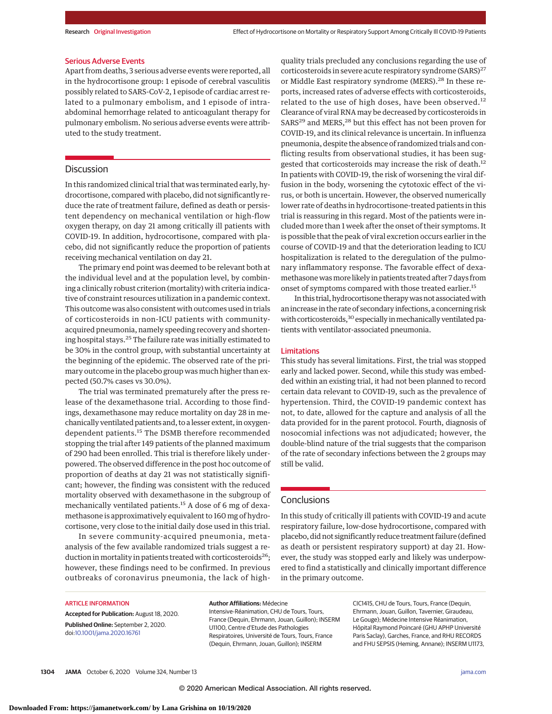#### Serious Adverse Events

Apart from deaths, 3 serious adverse events were reported, all in the hydrocortisone group: 1 episode of cerebral vasculitis possibly related to SARS-CoV-2, 1 episode of cardiac arrest related to a pulmonary embolism, and 1 episode of intraabdominal hemorrhage related to anticoagulant therapy for pulmonary embolism. No serious adverse events were attributed to the study treatment.

# **Discussion**

In this randomized clinical trial that was terminated early, hydrocortisone, compared with placebo, did not significantly reduce the rate of treatment failure, defined as death or persistent dependency on mechanical ventilation or high-flow oxygen therapy, on day 21 among critically ill patients with COVID-19. In addition, hydrocortisone, compared with placebo, did not significantly reduce the proportion of patients receiving mechanical ventilation on day 21.

The primary end point was deemed to be relevant both at the individual level and at the population level, by combining a clinically robust criterion (mortality) with criteria indicative of constraint resources utilization in a pandemic context. This outcome was also consistent with outcomes used in trials of corticosteroids in non-ICU patients with communityacquired pneumonia, namely speeding recovery and shortening hospital stays.<sup>25</sup> The failure rate was initially estimated to be 30% in the control group, with substantial uncertainty at the beginning of the epidemic. The observed rate of the primary outcome in the placebo group was much higher than expected (50.7% cases vs 30.0%).

The trial was terminated prematurely after the press release of the dexamethasone trial. According to those findings, dexamethasone may reduce mortality on day 28 in mechanically ventilated patients and, to a lesser extent, in oxygendependent patients.<sup>15</sup> The DSMB therefore recommended stopping the trial after 149 patients of the planned maximum of 290 had been enrolled. This trial is therefore likely underpowered. The observed difference in the post hoc outcome of proportion of deaths at day 21 was not statistically significant; however, the finding was consistent with the reduced mortality observed with dexamethasone in the subgroup of mechanically ventilated patients.<sup>15</sup> A dose of 6 mg of dexamethasone is approximatively equivalent to 160 mg of hydrocortisone, very close to the initial daily dose used in this trial.

In severe community-acquired pneumonia, metaanalysis of the few available randomized trials suggest a reduction in mortality in patients treated with corticosteroids<sup>26</sup>; however, these findings need to be confirmed. In previous outbreaks of coronavirus pneumonia, the lack of high-

quality trials precluded any conclusions regarding the use of corticosteroids in severe acute respiratory syndrome  $(SARS)^{27}$ or Middle East respiratory syndrome (MERS).<sup>28</sup> In these reports, increased rates of adverse effects with corticosteroids, related to the use of high doses, have been observed.<sup>12</sup> Clearance of viral RNA may be decreased by corticosteroids in  $SARS<sup>29</sup>$  and MERS,<sup>28</sup> but this effect has not been proven for COVID-19, and its clinical relevance is uncertain. In influenza pneumonia, despite the absence of randomized trials and conflicting results from observational studies, it has been suggested that corticosteroids may increase the risk of death.<sup>12</sup> In patients with COVID-19, the risk of worsening the viral diffusion in the body, worsening the cytotoxic effect of the virus, or both is uncertain. However, the observed numerically lower rate of deaths in hydrocortisone-treated patients in this trial is reassuring in this regard. Most of the patients were included more than 1 week after the onset of their symptoms. It is possible that the peak of viral excretion occurs earlier in the course of COVID-19 and that the deterioration leading to ICU hospitalization is related to the deregulation of the pulmonary inflammatory response. The favorable effect of dexamethasone wasmore likely in patients treated after 7 days from onset of symptoms compared with those treated earlier.<sup>15</sup>

In this trial, hydrocortisone therapy was not associated with an increase in the rate of secondary infections, a concerning risk with corticosteroids,<sup>30</sup> especially in mechanically ventilated patients with ventilator-associated pneumonia.

## Limitations

This study has several limitations. First, the trial was stopped early and lacked power. Second, while this study was embedded within an existing trial, it had not been planned to record certain data relevant to COVID-19, such as the prevalence of hypertension. Third, the COVID-19 pandemic context has not, to date, allowed for the capture and analysis of all the data provided for in the parent protocol. Fourth, diagnosis of nosocomial infections was not adjudicated; however, the double-blind nature of the trial suggests that the comparison of the rate of secondary infections between the 2 groups may still be valid.

# **Conclusions**

In this study of critically ill patients with COVID-19 and acute respiratory failure, low-dose hydrocortisone, compared with placebo, did not significantly reduce treatment failure (defined as death or persistent respiratory support) at day 21. However, the study was stopped early and likely was underpowered to find a statistically and clinically important difference in the primary outcome.

#### ARTICLE INFORMATION

**Accepted for Publication:** August 18, 2020. **Published Online:** September 2, 2020. doi[:10.1001/jama.2020.16761](https://jamanetwork.com/journals/jama/fullarticle/10.1001/jama.2020.16761?utm_campaign=articlePDF%26utm_medium=articlePDFlink%26utm_source=articlePDF%26utm_content=jama.2020.16761)

**Author Affiliations:** Médecine Intensive-Réanimation, CHU de Tours, Tours, France (Dequin, Ehrmann, Jouan, Guillon); INSERM U1100, Centre d'Etude des Pathologies Respiratoires, Université de Tours, Tours, France (Dequin, Ehrmann, Jouan, Guillon); INSERM

CIC1415, CHU de Tours, Tours, France (Dequin, Ehrmann, Jouan, Guillon, Tavernier, Giraudeau, Le Gouge); Médecine Intensive Réanimation, Hôpital Raymond Poincaré (GHU APHP Université Paris Saclay), Garches, France, and RHU RECORDS and FHU SEPSIS (Heming, Annane); INSERM U1173,

**1304 JAMA** October 6, 2020 Volume 324, Number 13 **(Reprinted)** [jama.com](http://www.jama.com?utm_campaign=articlePDF%26utm_medium=articlePDFlink%26utm_source=articlePDF%26utm_content=jama.2020.16761)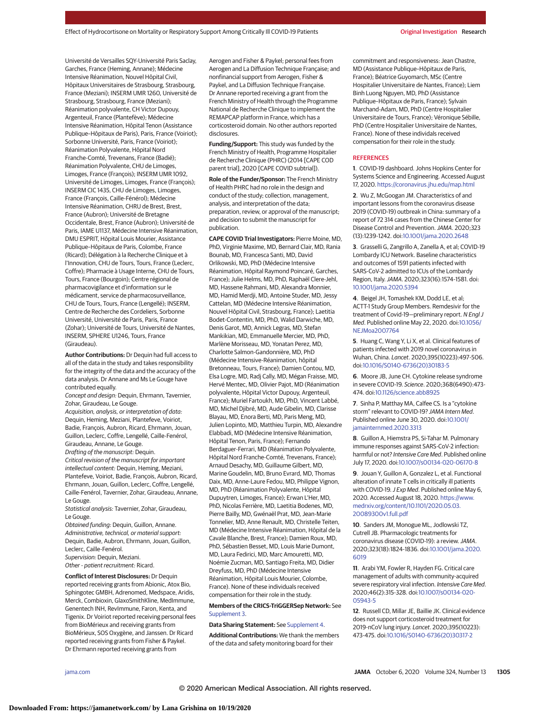Université de Versailles SQY-Université Paris Saclay, Garches, France (Heming, Annane); Médecine Intensive Réanimation, Nouvel Hôpital Civil, Hôpitaux Universitaires de Strasbourg, Strasbourg, France (Meziani); INSERM UMR 1260, Université de Strasbourg, Strasbourg, France (Meziani); Réanimation polyvalente, CH Victor Dupouy, Argenteuil, France (Plantefève); Médecine Intensive Réanimation, Hôpital Tenon (Assistance Publique–Hôpitaux de Paris), Paris, France (Voiriot); Sorbonne Université, Paris, France (Voiriot); Réanimation Polyvalente, Hôpital Nord Franche-Comté, Trevenans, France (Badié); Réanimation Polyvalente, CHU de Limoges, Limoges, France (François); INSERM UMR 1092, Université de Limoges, Limoges, France (François); INSERM CIC 1435, CHU de Limoges, Limoges, France (François, Caille-Fénérol); Médecine Intensive Réanimation, CHRU de Brest, Brest, France (Aubron); Université de Bretagne Occidentale, Brest, France (Aubron); Université de Paris, IAME U1137, Médecine Intensive Réanimation, DMU ESPRIT, Hôpital Louis Mourier, Assistance Publique–Hôpitaux de Paris, Colombe, France (Ricard); Délégation à la Recherche Clinique et à l'Innovation, CHU de Tours, Tours, France (Leclerc, Coffre); Pharmacie à Usage Interne, CHU de Tours, Tours, France (Bourgoin); Centre régional de pharmacovigilance et d'information sur le médicament, service de pharmacosurveillance, CHU de Tours, Tours, France (Lengellé); INSERM, Centre de Recherche des Cordeliers, Sorbonne Université, Université de Paris, Paris, France (Zohar); Université de Tours, Université de Nantes, INSERM, SPHERE U1246, Tours, France (Giraudeau).

**Author Contributions:** Dr Dequin had full access to all of the data in the study and takes responsibility for the integrity of the data and the accuracy of the data analysis. Dr Annane and Ms Le Gouge have contributed equally.

Concept and design: Dequin, Ehrmann, Tavernier, Zohar, Giraudeau, Le Gouge.

Acquisition, analysis, or interpretation of data: Dequin, Heming, Meziani, Plantefeve, Voiriot, Badie, François, Aubron, Ricard, Ehrmann, Jouan, Guillon, Leclerc, Coffre, Lengellé, Caille-Fenérol, Giraudeau, Annane, Le Gouge. Drafting of the manuscript: Dequin. Critical revision of the manuscript for important

intellectual content: Dequin, Heming, Meziani, Plantefeve, Voiriot, Badie, François, Aubron, Ricard, Ehrmann, Jouan, Guillon, Leclerc, Coffre, Lengellé, Caille-Fenérol, Tavernier, Zohar, Giraudeau, Annane, Le Gouge.

Statistical analysis: Tavernier, Zohar, Giraudeau, Le Gouge.

Obtained funding: Dequin, Guillon, Annane. Administrative, technical, or material support: Dequin, Badie, Aubron, Ehrmann, Jouan, Guillon, Leclerc, Caille-Fenérol. Supervision: Dequin, Meziani.

Other - patient recruitment: Ricard.

**Conflict of Interest Disclosures:** Dr Dequin reported receiving grants from Abionic, Atox Bio, Sphingotec GMBH, Adrenomed, Medspace, Aridis, Merck, Combioxin, GlaxoSmithKline, MedImmune, Genentech INH, RevImmune, Faron, Kenta, and Tigenix. Dr Voiriot reported receiving personal fees from BioMérieux and receiving grants from BioMérieux, SOS Oxygène, and Janssen. Dr Ricard reported receiving grants from Fisher & Paykel. Dr Ehrmann reported receiving grants from

Aerogen and Fisher & Paykel; personal fees from Aerogen and La Diffusion Technique Française; and nonfinancial support from Aerogen, Fisher & Paykel, and La Diffusion Technique Française. Dr Annane reported receiving a grant from the French Ministry of Health through the Programme National de Recherche Clinique to implement the REMAPCAP platform in France, which has a corticosteroid domain. No other authors reported disclosures.

**Funding/Support:** This study was funded by the French Ministry of Health, Programme Hospitalier de Recherche Clinique (PHRC) (2014 [CAPE COD parent trial], 2020 [CAPE COVID subtrial]).

**Role of the Funder/Sponsor:** The French Ministry of Health PHRC had no role in the design and conduct of the study; collection, management, analysis, and interpretation of the data; preparation, review, or approval of the manuscript; and decision to submit the manuscript for publication.

**CAPE COVID Trial Investigators:** Pierre Moine, MD, PhD, Virginie Maxime, MD, Bernard Clair, MD, Rania Bounab, MD, Francesca Santi, MD, David Orlikowski, MD, PhD (Médecine Intensive Réanimation, Hôpital Raymond Poincaré, Garches, France); Julie Helms, MD, PhD, Raphaël Clere-Jehl, MD, Hassene Rahmani, MD, Alexandra Monnier, MD, Hamid Merdji, MD, Antoine Studer, MD, Jessy Cattelan, MD (Médecine Intensive Réanimation, Nouvel Hôpital Civil, Strasbourg, France); Laetitia Bodet-Contentin, MD, PhD, Walid Darwiche, MD, Denis Garot, MD, Annick Legras, MD, Stefan Mankikian, MD, Emmanuelle Mercier, MD, PhD, Marlène Morisseau, MD, Yonatan Perez, MD, Charlotte Salmon-Gandonnière, MD, PhD (Médecine Intensive-Réanimation, hôpital Bretonneau, Tours, France); Damien Contou, MD, Elsa Logre, MD, Radj Cally, MD, Mégan Fraisse, MD, Hervé Mentec, MD, Olivier Pajot, MD (Réanimation polyvalente, Hôpital Victor Dupouy, Argenteuil, France); Muriel Fartoukh, MD, PhD, Vincent Labbé, MD, Michel Djibré, MD, Aude Gibelin, MD, Clarisse Blayau, MD, Enora Berti, MD, Paris Meng, MD, Julien Lopinto, MD, Matthieu Turpin, MD, Alexandre Elabbadi, MD (Médecine Intensive Réanimation, Hôpital Tenon, Paris, France); Fernando Berdaguer-Ferrari, MD (Réanimation Polyvalente, Hôpital Nord Franche-Comté, Trevenans, France); Arnaud Desachy, MD, Guillaume Gilbert, MD, Marine Goudelin, MD, Bruno Evrard, MD, Thomas Daix, MD, Anne-Laure Fedou, MD, Philippe Vignon, MD, PhD (Réanimation Polyvalente, Hôpital Dupuytren, Limoges, France); Erwan L'Her, MD, PhD, Nicolas Ferrière, MD, Laetitia Bodenes, MD, Pierre Bailly, MD, Gwénaël Prat, MD, Jean-Marie Tonnelier, MD, Anne Renault, MD, Christelle Teiten, MD (Médecine Intensive Réanimation, Hôpital de la Cavale Blanche, Brest, France); Damien Roux, MD, PhD, Sébastien Besset, MD, Louis Marie Dumont, MD, Laura Fedirici, MD, Marc Amouretti, MD, Noémie Zucman, MD, Santiago Freita, MD, Didier Dreyfuss, MD, PhD (Médecine Intensive Réanimation, Hôpital Louis Mourier, Colombe, France). None of these individuals received compensation for their role in the study.

### **Members of the CRICS-TriGGERSep Network:** See [Supplement 3.](https://jamanetwork.com/journals/jama/fullarticle/10.1001/jama.2020.16761?utm_campaign=articlePDF%26utm_medium=articlePDFlink%26utm_source=articlePDF%26utm_content=jama.2020.16761)

#### **Data Sharing Statement:** See [Supplement 4.](https://jamanetwork.com/journals/jama/fullarticle/10.1001/jama.2020.16761?utm_campaign=articlePDF%26utm_medium=articlePDFlink%26utm_source=articlePDF%26utm_content=jama.2020.16761)

**Additional Contributions:** We thank the members of the data and safety monitoring board for their

commitment and responsiveness: Jean Chastre, MD (Assistance Publique–Hôpitaux de Paris, France); Béatrice Guyomarch, MSc (Centre Hospitalier Universitaire de Nantes, France); Liem Binh Luong Nguyen, MD, PhD (Assistance Publique–Hôpitaux de Paris, France); Sylvain Marchand-Adam, MD, PhD (Centre Hospitalier Universitaire de Tours, France); Véronique Sébille, PhD (Centre Hospitalier Universitaire de Nantes, France). None of these individals received compensation for their role in the study.

### **REFERENCES**

**1**. COVID-19 dashboard. Johns Hopkins Center for Systems Science and Engineering. Accessed August 17, 2020. <https://coronavirus.jhu.edu/map.html>

**2**. Wu Z, McGoogan JM. Characteristics of and important lessons from the coronavirus disease 2019 (COVID-19) outbreak in China: summary of a report of 72 314 cases from the Chinese Center for Disease Control and Prevention. JAMA. 2020;323 (13):1239-1242. doi[:10.1001/jama.2020.2648](https://jamanetwork.com/journals/jama/fullarticle/10.1001/jama.2020.2648?utm_campaign=articlePDF%26utm_medium=articlePDFlink%26utm_source=articlePDF%26utm_content=jama.2020.16761)

**3**. Grasselli G, Zangrillo A, Zanella A, et al; COVID-19 Lombardy ICU Network. Baseline characteristics and outcomes of 1591 patients infected with SARS-CoV-2 admitted to ICUs of the Lombardy Region, Italy.JAMA. 2020;323(16):1574-1581. doi: [10.1001/jama.2020.5394](https://jamanetwork.com/journals/jama/fullarticle/10.1001/jama.2020.5394?utm_campaign=articlePDF%26utm_medium=articlePDFlink%26utm_source=articlePDF%26utm_content=jama.2020.16761)

**4**. Beigel JH, Tomashek KM, Dodd LE, et al; ACTT-1 Study Group Members. Remdesivir for the treatment of Covid-19—preliminary report. N Engl J Med. Published online May 22, 2020. doi[:10.1056/](https://dx.doi.org/10.1056/NEJMoa2007764) [NEJMoa2007764](https://dx.doi.org/10.1056/NEJMoa2007764)

**5**. Huang C, Wang Y, Li X, et al. Clinical features of patients infected with 2019 novel coronavirus in Wuhan, China. Lancet. 2020;395(10223):497-506. doi[:10.1016/S0140-6736\(20\)30183-5](https://dx.doi.org/10.1016/S0140-6736(20)30183-5)

**6**. Moore JB, June CH. Cytokine release syndrome in severe COVID-19. Science. 2020;368(6490):473- 474. doi[:10.1126/science.abb8925](https://dx.doi.org/10.1126/science.abb8925)

**7**. Sinha P, Matthay MA, Calfee CS. Is a "cytokine storm" relevant to COVID-19? JAMA Intern Med. Published online June 30, 2020. doi[:10.1001/](https://jamanetwork.com/journals/jama/fullarticle/10.1001/jamainternmed.2020.3313?utm_campaign=articlePDF%26utm_medium=articlePDFlink%26utm_source=articlePDF%26utm_content=jama.2020.16761) [jamainternmed.2020.3313](https://jamanetwork.com/journals/jama/fullarticle/10.1001/jamainternmed.2020.3313?utm_campaign=articlePDF%26utm_medium=articlePDFlink%26utm_source=articlePDF%26utm_content=jama.2020.16761)

**8**. Guillon A, Hiemstra PS, Si-Tahar M. Pulmonary immune responses against SARS-CoV-2 infection: harmful or not? Intensive Care Med. Published online July 17, 2020. doi[:10.1007/s00134-020-06170-8](https://dx.doi.org/10.1007/s00134-020-06170-8)

**9**. Jouan Y, Guillon A, Gonzalez L, et al. Functional alteration of innate T cells in critically ill patients with COVID-19. J Exp Med. Published online May 6, 2020. Accessed August 18, 2020. [https://www.](https://www.medrxiv.org/content/10.1101/2020.05.03.20089300v1.full.pdf) [medrxiv.org/content/10.1101/2020.05.03.](https://www.medrxiv.org/content/10.1101/2020.05.03.20089300v1.full.pdf) [20089300v1.full.pdf](https://www.medrxiv.org/content/10.1101/2020.05.03.20089300v1.full.pdf)

**10**. Sanders JM, Monogue ML, Jodlowski TZ, Cutrell JB. Pharmacologic treatments for coronavirus disease (COVID-19): a review.JAMA. 2020;323(18):1824-1836. doi[:10.1001/jama.2020.](https://jamanetwork.com/journals/jama/fullarticle/10.1001/jama.2020.6019?utm_campaign=articlePDF%26utm_medium=articlePDFlink%26utm_source=articlePDF%26utm_content=jama.2020.16761) [6019](https://jamanetwork.com/journals/jama/fullarticle/10.1001/jama.2020.6019?utm_campaign=articlePDF%26utm_medium=articlePDFlink%26utm_source=articlePDF%26utm_content=jama.2020.16761)

**11**. Arabi YM, Fowler R, Hayden FG. Critical care management of adults with community-acquired severe respiratory viral infection. Intensive Care Med. 2020;46(2):315-328. doi[:10.1007/s00134-020-](https://dx.doi.org/10.1007/s00134-020-05943-5) [05943-5](https://dx.doi.org/10.1007/s00134-020-05943-5)

**12**. Russell CD, Millar JE, Baillie JK. Clinical evidence does not support corticosteroid treatment for 2019-nCoV lung injury. Lancet. 2020;395(10223): 473-475. doi[:10.1016/S0140-6736\(20\)30317-2](https://dx.doi.org/10.1016/S0140-6736(20)30317-2)